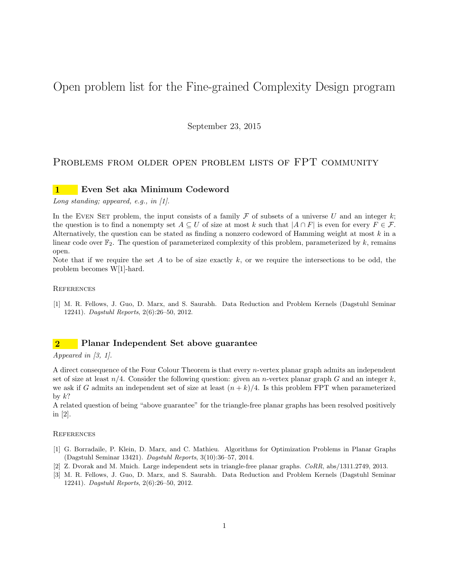# Open problem list for the Fine-grained Complexity Design program

September 23, 2015

# PROBLEMS FROM OLDER OPEN PROBLEM LISTS OF FPT COMMUNITY

# 1 Even Set aka Minimum Codeword

Long standing; appeared, e.g., in  $[1]$ .

In the EVEN SET problem, the input consists of a family  $\mathcal F$  of subsets of a universe U and an integer k; the question is to find a nonempty set  $A \subseteq U$  of size at most k such that  $|A \cap F|$  is even for every  $F \in \mathcal{F}$ . Alternatively, the question can be stated as finding a nonzero codeword of Hamming weight at most  $k$  in a linear code over  $\mathbb{F}_2$ . The question of parameterized complexity of this problem, parameterized by k, remains open.

Note that if we require the set A to be of size exactly  $k$ , or we require the intersections to be odd, the problem becomes W[1]-hard.

### **REFERENCES**

[1] M. R. Fellows, J. Guo, D. Marx, and S. Saurabh. Data Reduction and Problem Kernels (Dagstuhl Seminar 12241). Dagstuhl Reports, 2(6):26–50, 2012.

# 2 Planar Independent Set above guarantee

Appeared in [3, 1].

A direct consequence of the Four Colour Theorem is that every n-vertex planar graph admits an independent set of size at least  $n/4$ . Consider the following question: given an *n*-vertex planar graph G and an integer k, we ask if G admits an independent set of size at least  $(n + k)/4$ . Is this problem FPT when parameterized by  $k$ ?

A related question of being "above guarantee" for the triangle-free planar graphs has been resolved positively in [2].

- [1] G. Borradaile, P. Klein, D. Marx, and C. Mathieu. Algorithms for Optimization Problems in Planar Graphs (Dagstuhl Seminar 13421). Dagstuhl Reports, 3(10):36–57, 2014.
- [2] Z. Dvorak and M. Mnich. Large independent sets in triangle-free planar graphs. CoRR, abs/1311.2749, 2013.
- [3] M. R. Fellows, J. Guo, D. Marx, and S. Saurabh. Data Reduction and Problem Kernels (Dagstuhl Seminar 12241). Dagstuhl Reports, 2(6):26–50, 2012.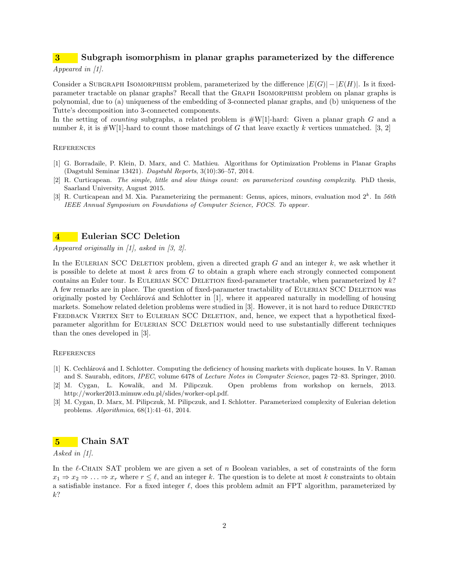# 3 Subgraph isomorphism in planar graphs parameterized by the difference

# Appeared in [1].

Consider a SUBGRAPH ISOMORPHISM problem, parameterized by the difference  $|E(G)| - |E(H)|$ . Is it fixedparameter tractable on planar graphs? Recall that the Graph Isomorphism problem on planar graphs is polynomial, due to (a) uniqueness of the embedding of 3-connected planar graphs, and (b) uniqueness of the Tutte's decomposition into 3-connected components.

In the setting of *counting* subgraphs, a related problem is  $\#W[1]$ -hard: Given a planar graph G and a number k, it is  $\#W[1]$ -hard to count those matchings of G that leave exactly k vertices unmatched. [3, 2]

### **REFERENCES**

- [1] G. Borradaile, P. Klein, D. Marx, and C. Mathieu. Algorithms for Optimization Problems in Planar Graphs (Dagstuhl Seminar 13421). Dagstuhl Reports, 3(10):36–57, 2014.
- [2] R. Curticapean. The simple, little and slow things count: on parameterized counting complexity. PhD thesis, Saarland University, August 2015.
- [3] R. Curticapean and M. Xia. Parameterizing the permanent: Genus, apices, minors, evaluation mod  $2^k$ . In 56th IEEE Annual Symposium on Foundations of Computer Science, FOCS. To appear.

# 4 Eulerian SCC Deletion

Appeared originally in [1], asked in [3, 2].

In the EULERIAN SCC DELETION problem, given a directed graph  $G$  and an integer  $k$ , we ask whether it is possible to delete at most  $k$  arcs from  $G$  to obtain a graph where each strongly connected component contains an Euler tour. Is EULERIAN SCC DELETION fixed-parameter tractable, when parameterized by k? A few remarks are in place. The question of fixed-parameter tractability of Eulerian SCC Deletion was originally posted by Cechlárová and Schlotter in [1], where it appeared naturally in modelling of housing markets. Somehow related deletion problems were studied in [3]. However, it is not hard to reduce DIRECTED FEEDBACK VERTEX SET to EULERIAN SCC DELETION, and, hence, we expect that a hypothetical fixedparameter algorithm for Eulerian SCC Deletion would need to use substantially different techniques than the ones developed in [3].

### **REFERENCES**

- [1] K. Cechlárová and I. Schlotter. Computing the deficiency of housing markets with duplicate houses. In V. Raman and S. Saurabh, editors, IPEC, volume 6478 of Lecture Notes in Computer Science, pages 72–83. Springer, 2010.
- [2] M. Cygan, L. Kowalik, and M. Pilipczuk. Open problems from workshop on kernels, 2013. http://worker2013.mimuw.edu.pl/slides/worker-opl.pdf.
- [3] M. Cygan, D. Marx, M. Pilipczuk, M. Pilipczuk, and I. Schlotter. Parameterized complexity of Eulerian deletion problems. Algorithmica, 68(1):41–61, 2014.

## 5 Chain SAT

### Asked in  $[1]$ .

In the  $\ell$ -Chain SAT problem we are given a set of n Boolean variables, a set of constraints of the form  $x_1 \Rightarrow x_2 \Rightarrow \ldots \Rightarrow x_r$  where  $r \leq \ell$ , and an integer k. The question is to delete at most k constraints to obtain a satisfiable instance. For a fixed integer  $\ell$ , does this problem admit an FPT algorithm, parameterized by k?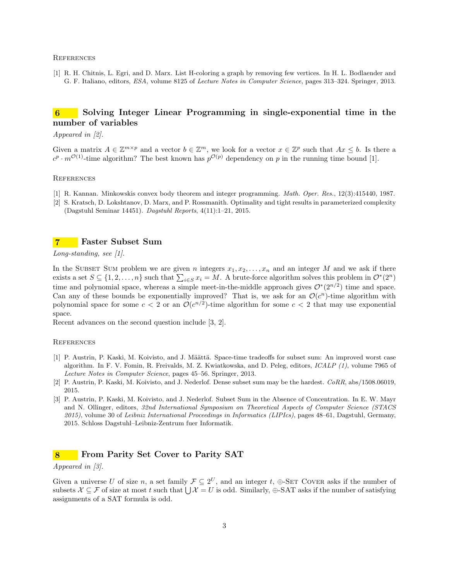[1] R. H. Chitnis, L. Egri, and D. Marx. List H-coloring a graph by removing few vertices. In H. L. Bodlaender and G. F. Italiano, editors, ESA, volume 8125 of Lecture Notes in Computer Science, pages 313–324. Springer, 2013.

# 6 Solving Integer Linear Programming in single-exponential time in the number of variables

### Appeared in [2].

Given a matrix  $A \in \mathbb{Z}^{m \times p}$  and a vector  $b \in \mathbb{Z}^m$ , we look for a vector  $x \in \mathbb{Z}^p$  such that  $Ax \leq b$ . Is there a  $c^p \cdot m^{\mathcal{O}(1)}$ -time algorithm? The best known has  $p^{\mathcal{O}(p)}$  dependency on p in the running time bound [1].

### **REFERENCES**

- [1] R. Kannan. Minkowskis convex body theorem and integer programming. Math. Oper. Res., 12(3):415440, 1987.
- [2] S. Kratsch, D. Lokshtanov, D. Marx, and P. Rossmanith. Optimality and tight results in parameterized complexity (Dagstuhl Seminar 14451). Dagstuhl Reports, 4(11):1–21, 2015.

# 7 Faster Subset Sum

Long-standing, see [1].

In the SUBSET SUM problem we are given n integers  $x_1, x_2, \ldots, x_n$  and an integer M and we ask if there exists a set  $S \subseteq \{1, 2, ..., n\}$  such that  $\sum_{i \in S} x_i = M$ . A brute-force algorithm solves this problem in  $\mathcal{O}^*(2^n)$ time and polynomial space, whereas a simple meet-in-the-middle approach gives  $\mathcal{O}^*(2^{n/2})$  time and space. Can any of these bounds be exponentially improved? That is, we ask for an  $\mathcal{O}(c^n)$ -time algorithm with polynomial space for some  $c < 2$  or an  $\mathcal{O}(c^{n/2})$ -time algorithm for some  $c < 2$  that may use exponential space.

Recent advances on the second question include [3, 2].

#### **REFERENCES**

- [1] P. Austrin, P. Kaski, M. Koivisto, and J. Määttä. Space-time tradeoffs for subset sum: An improved worst case algorithm. In F. V. Fomin, R. Freivalds, M. Z. Kwiatkowska, and D. Peleg, editors, ICALP (1), volume 7965 of Lecture Notes in Computer Science, pages 45–56. Springer, 2013.
- [2] P. Austrin, P. Kaski, M. Koivisto, and J. Nederlof. Dense subset sum may be the hardest.  $CORR$ , abs/1508.06019, 2015.
- [3] P. Austrin, P. Kaski, M. Koivisto, and J. Nederlof. Subset Sum in the Absence of Concentration. In E. W. Mayr and N. Ollinger, editors, 32nd International Symposium on Theoretical Aspects of Computer Science (STACS 2015), volume 30 of Leibniz International Proceedings in Informatics (LIPIcs), pages 48–61, Dagstuhl, Germany, 2015. Schloss Dagstuhl–Leibniz-Zentrum fuer Informatik.

# 8 From Parity Set Cover to Parity SAT

### Appeared in [3].

Given a universe U of size n, a set family  $\mathcal{F} \subseteq 2^U$ , and an integer t,  $\oplus$ -SET COVER asks if the number of subsets  $\mathcal{X} \subseteq \mathcal{F}$  of size at most t such that  $\bigcup \mathcal{X} = U$  is odd. Similarly,  $\oplus$ -SAT asks if the number of satisfying assignments of a SAT formula is odd.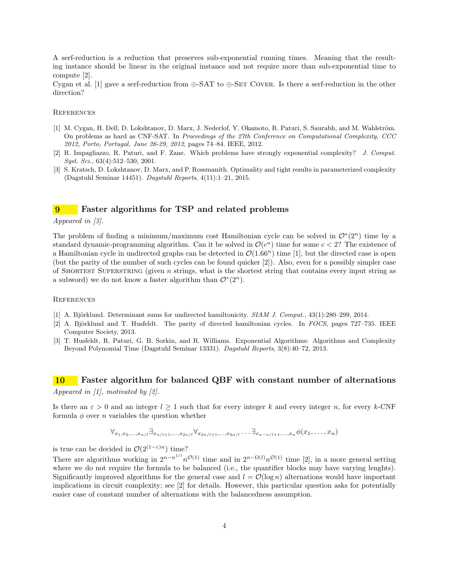A serf-reduction is a reduction that preserves sub-exponential running times. Meaning that the resulting instance should be linear in the original instance and not require more than sub-exponential time to compute [2].

Cygan et al. [1] gave a serf-reduction from  $\bigoplus$ -SAT to  $\bigoplus$ -SET COVER. Is there a serf-reduction in the other direction?

### **REFERENCES**

- [1] M. Cygan, H. Dell, D. Lokshtanov, D. Marx, J. Nederlof, Y. Okamoto, R. Paturi, S. Saurabh, and M. Wahlström. On problems as hard as CNF-SAT. In Proceedings of the 27th Conference on Computational Complexity, CCC 2012, Porto, Portugal, June 26-29, 2012, pages 74–84. IEEE, 2012.
- [2] R. Impagliazzo, R. Paturi, and F. Zane. Which problems have strongly exponential complexity? J. Comput. Syst. Sci., 63(4):512-530, 2001.
- [3] S. Kratsch, D. Lokshtanov, D. Marx, and P. Rossmanith. Optimality and tight results in parameterized complexity (Dagstuhl Seminar 14451). Dagstuhl Reports, 4(11):1–21, 2015.

# Faster algorithms for TSP and related problems

### Appeared in [3].

The problem of finding a minimum/maximum cost Hamiltonian cycle can be solved in  $\mathcal{O}^*(2^n)$  time by a standard dynamic-programming algorithm. Can it be solved in  $\mathcal{O}(c^n)$  time for some  $c < 2$ ? The existence of a Hamiltonian cycle in undirected graphs can be detected in  $\mathcal{O}(1.66^n)$  time [1], but the directed case is open (but the parity of the number of such cycles can be found quicker [2]). Also, even for a possibly simpler case of SHORTEST SUPERSTRING (given  $n$  strings, what is the shortest string that contains every input string as a subword) we do not know a faster algorithm than  $\mathcal{O}^*(2^n)$ .

#### **REFERENCES**

- [1] A. Björklund. Determinant sums for undirected hamiltonicity. SIAM J. Comput., 43(1):280–299, 2014.
- [2] A. Björklund and T. Husfeldt. The parity of directed hamiltonian cycles. In FOCS, pages 727–735. IEEE Computer Society, 2013.
- [3] T. Husfeldt, R. Paturi, G. B. Sorkin, and R. Williams. Exponential Algorithms: Algorithms and Complexity Beyond Polynomial Time (Dagstuhl Seminar 13331). Dagstuhl Reports, 3(8):40–72, 2013.

# 10 Faster algorithm for balanced QBF with constant number of alternations Appeared in  $\vert 1 \vert$ , motivated by  $\vert 2 \vert$ .

Is there an  $\varepsilon > 0$  and an integer  $l \geq 1$  such that for every integer k and every integer n, for every k-CNF formula  $\phi$  over *n* variables the question whether

$$
\forall_{x_1, x_2, ..., x_{n/l}} \exists_{x_{n/l+1}, ..., x_{2n/l}} \forall_{x_{2n/l+1}, ..., x_{3n/l}} \dots \exists_{x_{n-n/l+1}, ..., x_n} \phi(x_1, ..., x_n)
$$

is true can be decided in  $\mathcal{O}(2^{(1-\varepsilon)n})$  time?

There are algorithms working in  $2^{n-n^{1/l}}n^{\mathcal{O}(1)}$  time and in  $2^{n-\Omega(l)}n^{\mathcal{O}(1)}$  time [2], in a more general setting where we do not require the formula to be balanced (i.e., the quantifier blocks may have varying lenghts). Significantly improved algorithms for the general case and  $l = \mathcal{O}(\log n)$  alternations would have important implications in circuit complexity; see [2] for details. However, this particular question asks for potentially easier case of constant number of alternations with the balancedness assumption.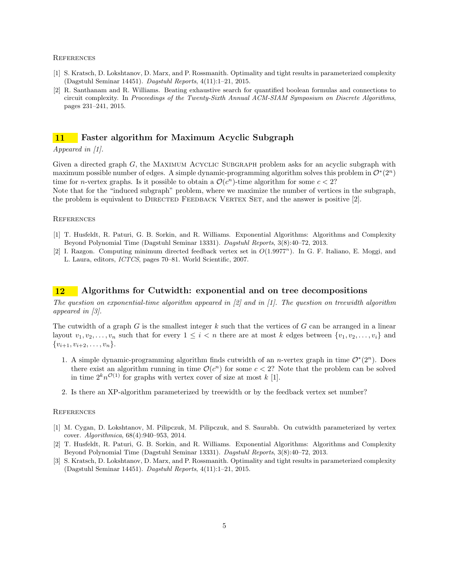- [1] S. Kratsch, D. Lokshtanov, D. Marx, and P. Rossmanith. Optimality and tight results in parameterized complexity (Dagstuhl Seminar 14451). Dagstuhl Reports, 4(11):1–21, 2015.
- [2] R. Santhanam and R. Williams. Beating exhaustive search for quantified boolean formulas and connections to circuit complexity. In Proceedings of the Twenty-Sixth Annual ACM-SIAM Symposium on Discrete Algorithms, pages 231–241, 2015.

# 11 Faster algorithm for Maximum Acyclic Subgraph

### Appeared in [1].

Given a directed graph G, the MAXIMUM ACYCLIC SUBGRAPH problem asks for an acyclic subgraph with maximum possible number of edges. A simple dynamic-programming algorithm solves this problem in  $\mathcal{O}^*(2^n)$ time for *n*-vertex graphs. Is it possible to obtain a  $\mathcal{O}(c^n)$ -time algorithm for some  $c < 2$ ? Note that for the "induced subgraph" problem, where we maximize the number of vertices in the subgraph, the problem is equivalent to DIRECTED FEEDBACK VERTEX SET, and the answer is positive [2].

### **REFERENCES**

- [1] T. Husfeldt, R. Paturi, G. B. Sorkin, and R. Williams. Exponential Algorithms: Algorithms and Complexity Beyond Polynomial Time (Dagstuhl Seminar 13331). Dagstuhl Reports, 3(8):40–72, 2013.
- [2] I. Razgon. Computing minimum directed feedback vertex set in  $O(1.9977^n)$ . In G. F. Italiano, E. Moggi, and L. Laura, editors, ICTCS, pages 70–81. World Scientific, 2007.

# 12 Algorithms for Cutwidth: exponential and on tree decompositions

The question on exponential-time algorithm appeared in  $[2]$  and in  $[1]$ . The question on treewidth algorithm appeared in [3].

The cutwidth of a graph  $G$  is the smallest integer  $k$  such that the vertices of  $G$  can be arranged in a linear layout  $v_1, v_2, \ldots, v_n$  such that for every  $1 \leq i < n$  there are at most k edges between  $\{v_1, v_2, \ldots, v_i\}$  and  $\{v_{i+1}, v_{i+2}, \ldots, v_n\}.$ 

- 1. A simple dynamic-programming algorithm finds cutwidth of an *n*-vertex graph in time  $\mathcal{O}^*(2^n)$ . Does there exist an algorithm running in time  $\mathcal{O}(c^n)$  for some  $c < 2$ ? Note that the problem can be solved in time  $2^k n^{\mathcal{O}(1)}$  for graphs with vertex cover of size at most k [1].
- 2. Is there an XP-algorithm parameterized by treewidth or by the feedback vertex set number?

- [1] M. Cygan, D. Lokshtanov, M. Pilipczuk, M. Pilipczuk, and S. Saurabh. On cutwidth parameterized by vertex cover. Algorithmica, 68(4):940–953, 2014.
- [2] T. Husfeldt, R. Paturi, G. B. Sorkin, and R. Williams. Exponential Algorithms: Algorithms and Complexity Beyond Polynomial Time (Dagstuhl Seminar 13331). Dagstuhl Reports, 3(8):40–72, 2013.
- [3] S. Kratsch, D. Lokshtanov, D. Marx, and P. Rossmanith. Optimality and tight results in parameterized complexity (Dagstuhl Seminar 14451). Dagstuhl Reports, 4(11):1–21, 2015.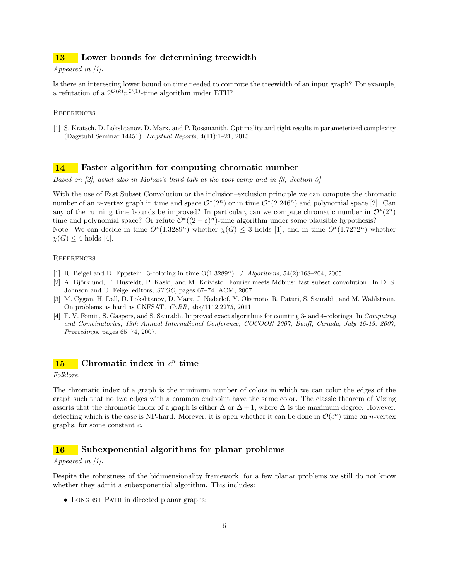# 13 Lower bounds for determining treewidth

### Appeared in [1].

Is there an interesting lower bound on time needed to compute the treewidth of an input graph? For example, a refutation of a  $2^{\mathcal{O}(k)} n^{\mathcal{O}(1)}$ -time algorithm under ETH?

### **REFERENCES**

[1] S. Kratsch, D. Lokshtanov, D. Marx, and P. Rossmanith. Optimality and tight results in parameterized complexity (Dagstuhl Seminar 14451). Dagstuhl Reports, 4(11):1–21, 2015.

# 14 Faster algorithm for computing chromatic number

Based on [2], asket also in Mohan's third talk at the boot camp and in [3, Section 5]

With the use of Fast Subset Convolution or the inclusion–exclusion principle we can compute the chromatic number of an *n*-vertex graph in time and space  $\mathcal{O}^*(2^n)$  or in time  $\mathcal{O}^*(2.246^n)$  and polynomial space [2]. Can any of the running time bounds be improved? In particular, can we compute chromatic number in  $\mathcal{O}^*(2^n)$ time and polynomial space? Or refute  $\mathcal{O}^*((2-\varepsilon)^n)$ -time algorithm under some plausible hypothesis? Note: We can decide in time  $O^*(1.3289^n)$  whether  $\chi(G) \leq 3$  holds [1], and in time  $O^*(1.7272^n)$  whether  $\chi(G) \leq 4$  holds [4].

### **REFERENCES**

- [1] R. Beigel and D. Eppstein. 3-coloring in time  $O(1.3289<sup>n</sup>)$ . J. Algorithms, 54(2):168-204, 2005.
- [2] A. Björklund, T. Husfeldt, P. Kaski, and M. Koivisto. Fourier meets Möbius: fast subset convolution. In D. S. Johnson and U. Feige, editors,  $STOC$ , pages 67–74. ACM, 2007.
- [3] M. Cygan, H. Dell, D. Lokshtanov, D. Marx, J. Nederlof, Y. Okamoto, R. Paturi, S. Saurabh, and M. Wahlström. On problems as hard as CNFSAT. CoRR, abs/1112.2275, 2011.
- [4] F. V. Fomin, S. Gaspers, and S. Saurabh. Improved exact algorithms for counting 3- and 4-colorings. In Computing and Combinatorics, 13th Annual International Conference, COCOON 2007, Banff, Canada, July 16-19, 2007, Proceedings, pages 65–74, 2007.

# 15 Chromatic index in  $c^n$  time

Folklore.

The chromatic index of a graph is the minimum number of colors in which we can color the edges of the graph such that no two edges with a common endpoint have the same color. The classic theorem of Vizing asserts that the chromatic index of a graph is either  $\Delta$  or  $\Delta + 1$ , where  $\Delta$  is the maximum degree. However, detecting which is the case is NP-hard. Morever, it is open whether it can be done in  $\mathcal{O}(c^n)$  time on *n*-vertex graphs, for some constant c.

# 16 Subexponential algorithms for planar problems

### Appeared in [1].

Despite the robustness of the bidimensionality framework, for a few planar problems we still do not know whether they admit a subexponential algorithm. This includes:

• LONGEST PATH in directed planar graphs;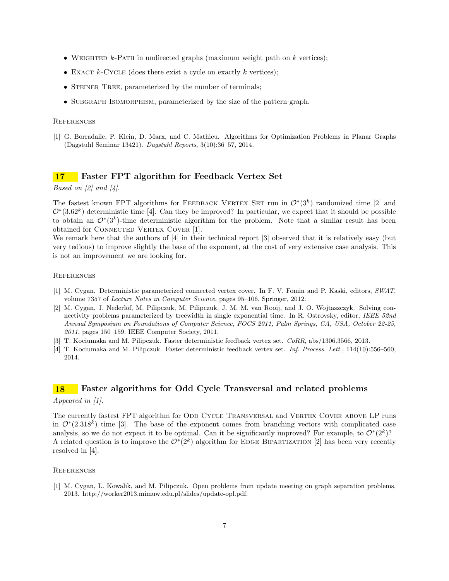- WEIGHTED  $k$ -PATH in undirected graphs (maximum weight path on k vertices);
- EXACT  $k$ -CYCLE (does there exist a cycle on exactly  $k$  vertices);
- STEINER TREE, parameterized by the number of terminals;
- SUBGRAPH ISOMORPHISM, parameterized by the size of the pattern graph.

[1] G. Borradaile, P. Klein, D. Marx, and C. Mathieu. Algorithms for Optimization Problems in Planar Graphs (Dagstuhl Seminar 13421). Dagstuhl Reports, 3(10):36–57, 2014.

# 17 Faster FPT algorithm for Feedback Vertex Set

### *Based on [2] and [4].*

The fastest known FPT algorithms for FEEDBACK VERTEX SET run in  $\mathcal{O}^*(3^k)$  randomized time [2] and  $\mathcal{O}^*(3.62^k)$  deterministic time [4]. Can they be improved? In particular, we expect that it should be possible to obtain an  $\mathcal{O}^*(3^k)$ -time deterministic algorithm for the problem. Note that a similar result has been obtained for CONNECTED VERTEX COVER [1].

We remark here that the authors of [4] in their technical report [3] observed that it is relatively easy (but very tedious) to improve slightly the base of the exponent, at the cost of very extensive case analysis. This is not an improvement we are looking for.

### **REFERENCES**

- [1] M. Cygan. Deterministic parameterized connected vertex cover. In F. V. Fomin and P. Kaski, editors, SWAT, volume 7357 of Lecture Notes in Computer Science, pages 95–106. Springer, 2012.
- [2] M. Cygan, J. Nederlof, M. Pilipczuk, M. Pilipczuk, J. M. M. van Rooij, and J. O. Wojtaszczyk. Solving connectivity problems parameterized by treewidth in single exponential time. In R. Ostrovsky, editor, IEEE 52nd Annual Symposium on Foundations of Computer Science, FOCS 2011, Palm Springs, CA, USA, October 22-25, 2011, pages 150–159. IEEE Computer Society, 2011.
- [3] T. Kociumaka and M. Pilipczuk. Faster deterministic feedback vertex set. CoRR, abs/1306.3566, 2013.
- [4] T. Kociumaka and M. Pilipczuk. Faster deterministic feedback vertex set. Inf. Process. Lett., 114(10):556–560, 2014.

# 18 Faster algorithms for Odd Cycle Transversal and related problems Appeared in [1].

The currently fastest FPT algorithm for ODD CYCLE TRANSVERSAL and VERTEX COVER ABOVE LP runs in  $\mathcal{O}^*(2.318^k)$  time [3]. The base of the exponent comes from branching vectors with complicated case analysis, so we do not expect it to be optimal. Can it be significantly improved? For example, to  $\mathcal{O}^*(2^k)$ ? A related question is to improve the  $\mathcal{O}^*(2^k)$  algorithm for EDGE BIPARTIZATION [2] has been very recently resolved in [4].

### **REFERENCES**

[1] M. Cygan, L. Kowalik, and M. Pilipczuk. Open problems from update meeting on graph separation problems, 2013. http://worker2013.mimuw.edu.pl/slides/update-opl.pdf.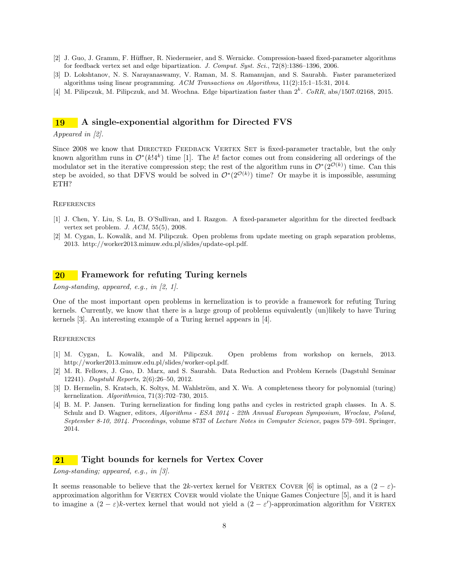- [2] J. Guo, J. Gramm, F. Hüffner, R. Niedermeier, and S. Wernicke. Compression-based fixed-parameter algorithms for feedback vertex set and edge bipartization. J. Comput. Syst. Sci., 72(8):1386–1396, 2006.
- [3] D. Lokshtanov, N. S. Narayanaswamy, V. Raman, M. S. Ramanujan, and S. Saurabh. Faster parameterized algorithms using linear programming. ACM Transactions on Algorithms, 11(2):15:1–15:31, 2014.
- [4] M. Pilipczuk, M. Pilipczuk, and M. Wrochna. Edge bipartization faster than  $2^k$ . CoRR, abs/1507.02168, 2015.

# 19 A single-exponential algorithm for Directed FVS

### Appeared in [2].

Since 2008 we know that DIRECTED FEEDBACK VERTEX SET is fixed-parameter tractable, but the only known algorithm runs in  $\mathcal{O}^*(k!4^k)$  time [1]. The k! factor comes out from considering all orderings of the modulator set in the iterative compression step; the rest of the algorithm runs in  $\mathcal{O}^*(2^{\mathcal{O}(k)})$  time. Can this step be avoided, so that DFVS would be solved in  $\mathcal{O}^*(2^{\mathcal{O}(k)})$  time? Or maybe it is impossible, assuming ETH?

#### **REFERENCES**

- [1] J. Chen, Y. Liu, S. Lu, B. O'Sullivan, and I. Razgon. A fixed-parameter algorithm for the directed feedback vertex set problem. J. ACM, 55(5), 2008.
- [2] M. Cygan, L. Kowalik, and M. Pilipczuk. Open problems from update meeting on graph separation problems, 2013. http://worker2013.mimuw.edu.pl/slides/update-opl.pdf.

# 20 Framework for refuting Turing kernels

Long-standing, appeared, e.g., in  $[2, 1]$ .

One of the most important open problems in kernelization is to provide a framework for refuting Turing kernels. Currently, we know that there is a large group of problems equivalently (un)likely to have Turing kernels [3]. An interesting example of a Turing kernel appears in [4].

### **REFERENCES**

- [1] M. Cygan, L. Kowalik, and M. Pilipczuk. Open problems from workshop on kernels, 2013. http://worker2013.mimuw.edu.pl/slides/worker-opl.pdf.
- [2] M. R. Fellows, J. Guo, D. Marx, and S. Saurabh. Data Reduction and Problem Kernels (Dagstuhl Seminar 12241). Dagstuhl Reports, 2(6):26–50, 2012.
- [3] D. Hermelin, S. Kratsch, K. Soltys, M. Wahlström, and X. Wu. A completeness theory for polynomial (turing) kernelization. Algorithmica, 71(3):702–730, 2015.
- [4] B. M. P. Jansen. Turing kernelization for finding long paths and cycles in restricted graph classes. In A. S. Schulz and D. Wagner, editors, Algorithms - ESA 2014 - 22th Annual European Symposium, Wroclaw, Poland, September 8-10, 2014. Proceedings, volume 8737 of Lecture Notes in Computer Science, pages 579–591. Springer, 2014.

## 21 Tight bounds for kernels for Vertex Cover

Long-standing; appeared, e.g., in [3].

It seems reasonable to believe that the 2k-vertex kernel for VERTEX COVER [6] is optimal, as a  $(2 - \varepsilon)$ approximation algorithm for VERTEX COVER would violate the Unique Games Conjecture [5], and it is hard to imagine a  $(2 - \varepsilon)k$ -vertex kernel that would not yield a  $(2 - \varepsilon')$ -approximation algorithm for VERTEX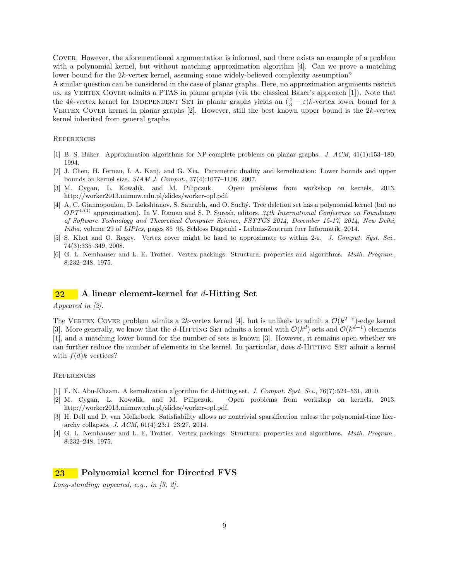Cover. However, the aforementioned argumentation is informal, and there exists an example of a problem with a polynomial kernel, but without matching approximation algorithm [4]. Can we prove a matching lower bound for the 2k-vertex kernel, assuming some widely-believed complexity assumption?

A similar question can be considered in the case of planar graphs. Here, no approximation arguments restrict us, as Vertex Cover admits a PTAS in planar graphs (via the classical Baker's approach [1]). Note that the 4k-vertex kernel for INDEPENDENT SET in planar graphs yields an  $(\frac{4}{3} - \varepsilon)k$ -vertex lower bound for a VERTEX COVER kernel in planar graphs  $[2]$ . However, still the best known upper bound is the  $2k$ -vertex kernel inherited from general graphs.

### **REFERENCES**

- [1] B. S. Baker. Approximation algorithms for NP-complete problems on planar graphs. J. ACM, 41(1):153–180, 1994.
- [2] J. Chen, H. Fernau, I. A. Kanj, and G. Xia. Parametric duality and kernelization: Lower bounds and upper bounds on kernel size. SIAM J. Comput., 37(4):1077–1106, 2007.
- [3] M. Cygan, L. Kowalik, and M. Pilipczuk. Open problems from workshop on kernels, 2013. http://worker2013.mimuw.edu.pl/slides/worker-opl.pdf.
- [4] A. C. Giannopoulou, D. Lokshtanov, S. Saurabh, and O. Suchý. Tree deletion set has a polynomial kernel (but no  $OPT^{O(1)}$  approximation). In V. Raman and S. P. Suresh, editors, 34th International Conference on Foundation of Software Technology and Theoretical Computer Science, FSTTCS 2014, December 15-17, 2014, New Delhi, India, volume 29 of LIPIcs, pages 85–96. Schloss Dagstuhl - Leibniz-Zentrum fuer Informatik, 2014.
- [5] S. Khot and O. Regev. Vertex cover might be hard to approximate to within 2-ε. J. Comput. Syst. Sci., 74(3):335–349, 2008.
- [6] G. L. Nemhauser and L. E. Trotter. Vertex packings: Structural properties and algorithms. Math. Program., 8:232–248, 1975.

# $22$  A linear element-kernel for d-Hitting Set

Appeared in [2].

The VERTEX COVER problem admits a 2k-vertex kernel [4], but is unlikely to admit a  $\mathcal{O}(k^{2-\varepsilon})$ -edge kernel [3]. More generally, we know that the d-HITTING SET admits a kernel with  $\mathcal{O}(k^d)$  sets and  $\mathcal{O}(k^{d-1})$  elements [1], and a matching lower bound for the number of sets is known [3]. However, it remains open whether we can further reduce the number of elements in the kernel. In particular, does d-HITTING SET admit a kernel with  $f(d)k$  vertices?

### **REFERENCES**

- [1] F. N. Abu-Khzam. A kernelization algorithm for d-hitting set. J. Comput. Syst. Sci., 76(7):524–531, 2010.
- [2] M. Cygan, L. Kowalik, and M. Pilipczuk. Open problems from workshop on kernels, 2013. http://worker2013.mimuw.edu.pl/slides/worker-opl.pdf.
- [3] H. Dell and D. van Melkebeek. Satisfiability allows no nontrivial sparsification unless the polynomial-time hierarchy collapses. J. ACM, 61(4):23:1–23:27, 2014.
- [4] G. L. Nemhauser and L. E. Trotter. Vertex packings: Structural properties and algorithms. Math. Program., 8:232–248, 1975.

### 23 Polynomial kernel for Directed FVS

Long-standing; appeared, e.g., in  $(3, 2)$ .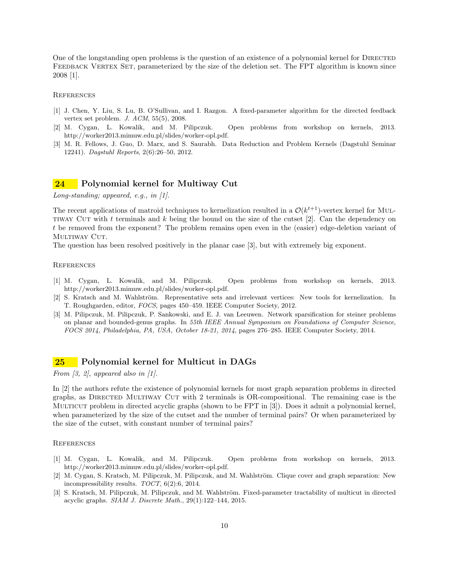One of the longstanding open problems is the question of an existence of a polynomial kernel for DIRECTED FEEDBACK VERTEX SET, parameterized by the size of the deletion set. The FPT algorithm is known since 2008 [1].

#### **REFERENCES**

- [1] J. Chen, Y. Liu, S. Lu, B. O'Sullivan, and I. Razgon. A fixed-parameter algorithm for the directed feedback vertex set problem. J. ACM, 55(5), 2008.
- [2] M. Cygan, L. Kowalik, and M. Pilipczuk. Open problems from workshop on kernels, 2013. http://worker2013.mimuw.edu.pl/slides/worker-opl.pdf.
- [3] M. R. Fellows, J. Guo, D. Marx, and S. Saurabh. Data Reduction and Problem Kernels (Dagstuhl Seminar 12241). Dagstuhl Reports, 2(6):26–50, 2012.

# 24 Polynomial kernel for Multiway Cut

Long-standing; appeared, e.g., in  $[1]$ .

The recent applications of matroid techniques to kernelization resulted in a  $\mathcal{O}(k^{t+1})$ -vertex kernel for MUL-TIWAY CUT with t terminals and k being the bound on the size of the cutset  $[2]$ . Can the dependency on t be removed from the exponent? The problem remains open even in the (easier) edge-deletion variant of MULTIWAY CUT.

The question has been resolved positively in the planar case [3], but with extremely big exponent.

### **REFERENCES**

- [1] M. Cygan, L. Kowalik, and M. Pilipczuk. Open problems from workshop on kernels, 2013. http://worker2013.mimuw.edu.pl/slides/worker-opl.pdf.
- [2] S. Kratsch and M. Wahlström. Representative sets and irrelevant vertices: New tools for kernelization. In T. Roughgarden, editor, FOCS, pages 450–459. IEEE Computer Society, 2012.
- [3] M. Pilipczuk, M. Pilipczuk, P. Sankowski, and E. J. van Leeuwen. Network sparsification for steiner problems on planar and bounded-genus graphs. In 55th IEEE Annual Symposium on Foundations of Computer Science, FOCS 2014, Philadelphia, PA, USA, October 18-21, 2014, pages 276–285. IEEE Computer Society, 2014.

# 25 Polynomial kernel for Multicut in DAGs

From  $\beta$ , 2, appeared also in  $\beta$ .

In [2] the authors refute the existence of polynomial kernels for most graph separation problems in directed graphs, as DIRECTED MULTIWAY CUT with 2 terminals is OR-compositional. The remaining case is the Multicut problem in directed acyclic graphs (shown to be FPT in [3]). Does it admit a polynomial kernel, when parameterized by the size of the cutset and the number of terminal pairs? Or when parameterized by the size of the cutset, with constant number of terminal pairs?

- [1] M. Cygan, L. Kowalik, and M. Pilipczuk. Open problems from workshop on kernels, 2013. http://worker2013.mimuw.edu.pl/slides/worker-opl.pdf.
- [2] M. Cygan, S. Kratsch, M. Pilipczuk, M. Pilipczuk, and M. Wahlström. Clique cover and graph separation: New incompressibility results.  $TOCT$ ,  $6(2):6$ , 2014.
- [3] S. Kratsch, M. Pilipczuk, M. Pilipczuk, and M. Wahlström. Fixed-parameter tractability of multicut in directed acyclic graphs. SIAM J. Discrete Math., 29(1):122–144, 2015.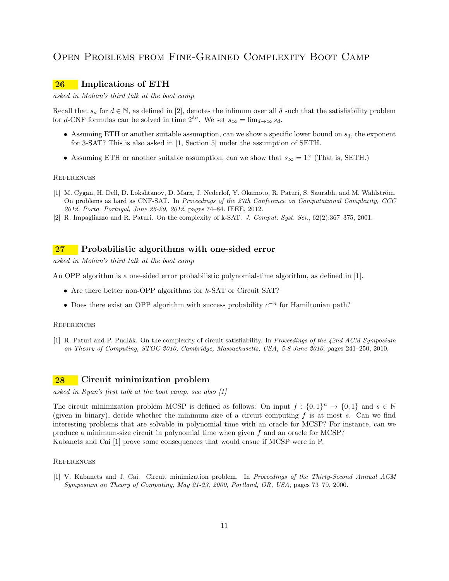# Open Problems from Fine-Grained Complexity Boot Camp

# 26 Implications of ETH

asked in Mohan's third talk at the boot camp

Recall that  $s_d$  for  $d \in \mathbb{N}$ , as defined in [2], denotes the infimum over all  $\delta$  such that the satisfiability problem for d-CNF formulas can be solved in time  $2^{\delta n}$ . We set  $s_{\infty} = \lim_{d \to \infty} s_d$ .

- Assuming ETH or another suitable assumption, can we show a specific lower bound on  $s_3$ , the exponent for 3-SAT? This is also asked in [1, Section 5] under the assumption of SETH.
- Assuming ETH or another suitable assumption, can we show that  $s_{\infty} = 1$ ? (That is, SETH.)

#### **REFERENCES**

- [1] M. Cygan, H. Dell, D. Lokshtanov, D. Marx, J. Nederlof, Y. Okamoto, R. Paturi, S. Saurabh, and M. Wahlström. On problems as hard as CNF-SAT. In Proceedings of the 27th Conference on Computational Complexity, CCC 2012, Porto, Portugal, June 26-29, 2012, pages 74–84. IEEE, 2012.
- [2] R. Impagliazzo and R. Paturi. On the complexity of k-SAT. J. Comput. Syst. Sci., 62(2):367–375, 2001.

# 27 Probabilistic algorithms with one-sided error

asked in Mohan's third talk at the boot camp

An OPP algorithm is a one-sided error probabilistic polynomial-time algorithm, as defined in [1].

- Are there better non-OPP algorithms for k-SAT or Circuit SAT?
- Does there exist an OPP algorithm with success probability  $c^{-n}$  for Hamiltonian path?

#### **REFERENCES**

[1] R. Paturi and P. Pudlák. On the complexity of circuit satisfiability. In Proceedings of the  $42nd$  ACM Symposium on Theory of Computing, STOC 2010, Cambridge, Massachusetts, USA, 5-8 June 2010, pages 241–250, 2010.

# 28 Circuit minimization problem

asked in Ryan's first talk at the boot camp, see also [1]

The circuit minimization problem MCSP is defined as follows: On input  $f: \{0,1\}^n \to \{0,1\}$  and  $s \in \mathbb{N}$ (given in binary), decide whether the minimum size of a circuit computing  $f$  is at most  $s$ . Can we find interesting problems that are solvable in polynomial time with an oracle for MCSP? For instance, can we produce a minimum-size circuit in polynomial time when given f and an oracle for MCSP? Kabanets and Cai [1] prove some consequences that would ensue if MCSP were in P.

### **REFERENCES**

[1] V. Kabanets and J. Cai. Circuit minimization problem. In Proceedings of the Thirty-Second Annual ACM Symposium on Theory of Computing, May 21-23, 2000, Portland, OR, USA, pages 73–79, 2000.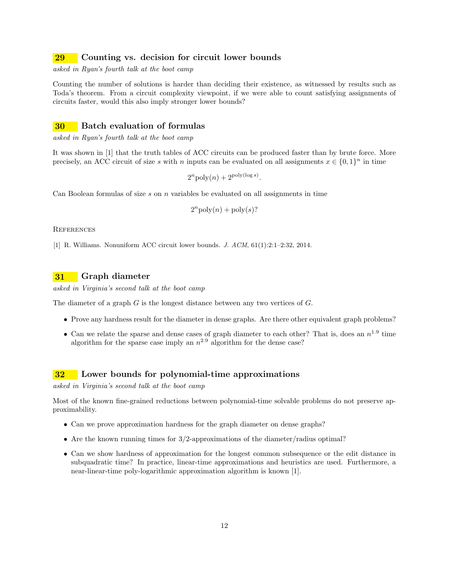# 29 Counting vs. decision for circuit lower bounds

asked in Ryan's fourth talk at the boot camp

Counting the number of solutions is harder than deciding their existence, as witnessed by results such as Toda's theorem. From a circuit complexity viewpoint, if we were able to count satisfying assignments of circuits faster, would this also imply stronger lower bounds?

### 30 Batch evaluation of formulas

asked in Ryan's fourth talk at the boot camp

It was shown in [1] that the truth tables of ACC circuits can be produced faster than by brute force. More precisely, an ACC circuit of size s with n inputs can be evaluated on all assignments  $x \in \{0,1\}^n$  in time

$$
2^n \text{poly}(n) + 2^{\text{poly}(\log s)}.
$$

Can Boolean formulas of size  $s$  on  $n$  variables be evaluated on all assignments in time

$$
2^n \text{poly}(n) + \text{poly}(s)?
$$

**REFERENCES** 

[1] R. Williams. Nonuniform ACC circuit lower bounds. J. ACM, 61(1):2:1–2:32, 2014.

# 31 Graph diameter

asked in Virginia's second talk at the boot camp

The diameter of a graph  $G$  is the longest distance between any two vertices of  $G$ .

- Prove any hardness result for the diameter in dense graphs. Are there other equivalent graph problems?
- Can we relate the sparse and dense cases of graph diameter to each other? That is, does an  $n^{1.9}$  time algorithm for the sparse case imply an  $n^{2.9}$  algorithm for the dense case?

### 32 Lower bounds for polynomial-time approximations

asked in Virginia's second talk at the boot camp

Most of the known fine-grained reductions between polynomial-time solvable problems do not preserve approximability.

- Can we prove approximation hardness for the graph diameter on dense graphs?
- Are the known running times for  $3/2$ -approximations of the diameter/radius optimal?
- Can we show hardness of approximation for the longest common subsequence or the edit distance in subquadratic time? In practice, linear-time approximations and heuristics are used. Furthermore, a near-linear-time poly-logarithmic approximation algorithm is known [1].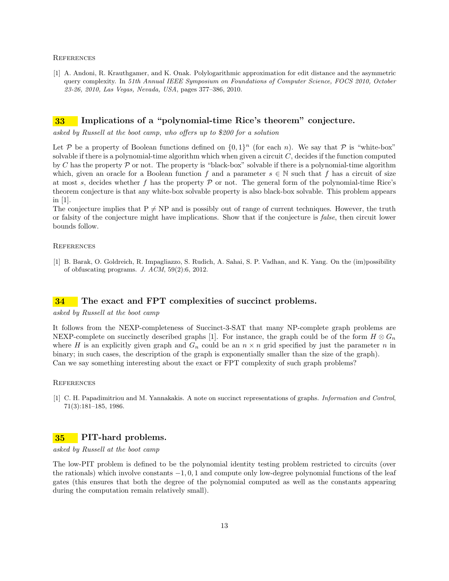[1] A. Andoni, R. Krauthgamer, and K. Onak. Polylogarithmic approximation for edit distance and the asymmetric query complexity. In 51th Annual IEEE Symposium on Foundations of Computer Science, FOCS 2010, October 23-26, 2010, Las Vegas, Nevada, USA, pages 377–386, 2010.

# 33 Implications of a "polynomial-time Rice's theorem" conjecture.

asked by Russell at the boot camp, who offers up to \$200 for a solution

Let P be a property of Boolean functions defined on  $\{0,1\}^n$  (for each n). We say that P is "white-box" solvable if there is a polynomial-time algorithm which when given a circuit  $C$ , decides if the function computed by C has the property  $\mathcal P$  or not. The property is "black-box" solvable if there is a polynomial-time algorithm which, given an oracle for a Boolean function f and a parameter  $s \in \mathbb{N}$  such that f has a circuit of size at most s, decides whether f has the property  $P$  or not. The general form of the polynomial-time Rice's theorem conjecture is that any white-box solvable property is also black-box solvable. This problem appears in [1].

The conjecture implies that  $P \neq NP$  and is possibly out of range of current techniques. However, the truth or falsity of the conjecture might have implications. Show that if the conjecture is false, then circuit lower bounds follow.

### **REFERENCES**

[1] B. Barak, O. Goldreich, R. Impagliazzo, S. Rudich, A. Sahai, S. P. Vadhan, and K. Yang. On the (im)possibility of obfuscating programs. J. ACM, 59(2):6, 2012.

# **34** The exact and FPT complexities of succinct problems.

### asked by Russell at the boot camp

It follows from the NEXP-completeness of Succinct-3-SAT that many NP-complete graph problems are NEXP-complete on succinctly described graphs [1]. For instance, the graph could be of the form  $H \otimes G_n$ where H is an explicitly given graph and  $G_n$  could be an  $n \times n$  grid specified by just the parameter n in binary; in such cases, the description of the graph is exponentially smaller than the size of the graph). Can we say something interesting about the exact or FPT complexity of such graph problems?

#### **REFERENCES**

[1] C. H. Papadimitriou and M. Yannakakis. A note on succinct representations of graphs. Information and Control, 71(3):181–185, 1986.

# 35 PIT-hard problems.

asked by Russell at the boot camp

The low-PIT problem is defined to be the polynomial identity testing problem restricted to circuits (over the rationals) which involve constants  $-1, 0, 1$  and compute only low-degree polynomial functions of the leaf gates (this ensures that both the degree of the polynomial computed as well as the constants appearing during the computation remain relatively small).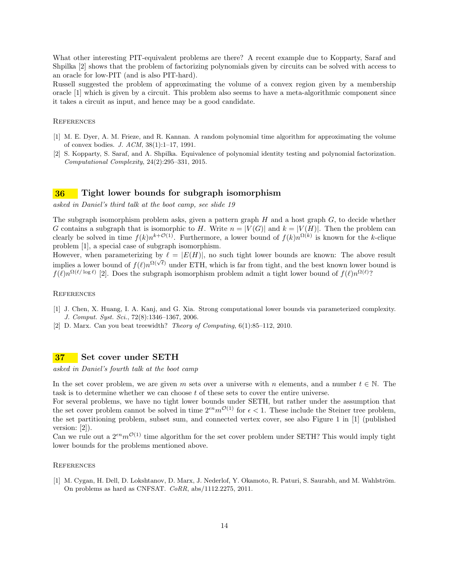What other interesting PIT-equivalent problems are there? A recent example due to Kopparty, Saraf and Shpilka [2] shows that the problem of factorizing polynomials given by circuits can be solved with access to an oracle for low-PIT (and is also PIT-hard).

Russell suggested the problem of approximating the volume of a convex region given by a membership oracle [1] which is given by a circuit. This problem also seems to have a meta-algorithmic component since it takes a circuit as input, and hence may be a good candidate.

### **REFERENCES**

- [1] M. E. Dyer, A. M. Frieze, and R. Kannan. A random polynomial time algorithm for approximating the volume of convex bodies. J. ACM, 38(1):1–17, 1991.
- [2] S. Kopparty, S. Saraf, and A. Shpilka. Equivalence of polynomial identity testing and polynomial factorization. Computational Complexity, 24(2):295–331, 2015.

### 36 Tight lower bounds for subgraph isomorphism

asked in Daniel's third talk at the boot camp, see slide 19

The subgraph isomorphism problem asks, given a pattern graph  $H$  and a host graph  $G$ , to decide whether G contains a subgraph that is isomorphic to H. Write  $n = |V(G)|$  and  $k = |V(H)|$ . Then the problem can clearly be solved in time  $f(k)n^{k+\mathcal{O}(1)}$ . Furthermore, a lower bound of  $f(k)n^{\Omega(k)}$  is known for the k-clique problem [1], a special case of subgraph isomorphism.

However, when parameterizing by  $\ell = |E(H)|$ , no such tight lower bounds are known: The above result implies a lower bound of  $f(\ell)n^{\Omega(\sqrt{\ell})}$  under ETH, which is far from tight, and the best known lower bound is  $f(\ell)n^{\Omega(\ell/\log \ell)}$  [2]. Does the subgraph isomorphism problem admit a tight lower bound of  $f(\ell)n^{\Omega(\ell)}$ ?

### **REFERENCES**

- [1] J. Chen, X. Huang, I. A. Kanj, and G. Xia. Strong computational lower bounds via parameterized complexity. J. Comput. Syst. Sci., 72(8):1346–1367, 2006.
- [2] D. Marx. Can you beat treewidth? Theory of Computing, 6(1):85–112, 2010.

## 37 Set cover under SETH

asked in Daniel's fourth talk at the boot camp

In the set cover problem, we are given m sets over a universe with n elements, and a number  $t \in \mathbb{N}$ . The task is to determine whether we can choose t of these sets to cover the entire universe.

For several problems, we have no tight lower bounds under SETH, but rather under the assumption that the set cover problem cannot be solved in time  $2^{\epsilon n}m^{\mathcal{O}(1)}$  for  $\epsilon < 1$ . These include the Steiner tree problem, the set partitioning problem, subset sum, and connected vertex cover, see also Figure 1 in [1] (published version: [2]).

Can we rule out a  $2^{\epsilon n}m^{\mathcal{O}(1)}$  time algorithm for the set cover problem under SETH? This would imply tight lower bounds for the problems mentioned above.

### **REFERENCES**

[1] M. Cygan, H. Dell, D. Lokshtanov, D. Marx, J. Nederlof, Y. Okamoto, R. Paturi, S. Saurabh, and M. Wahlström. On problems as hard as CNFSAT. CoRR, abs/1112.2275, 2011.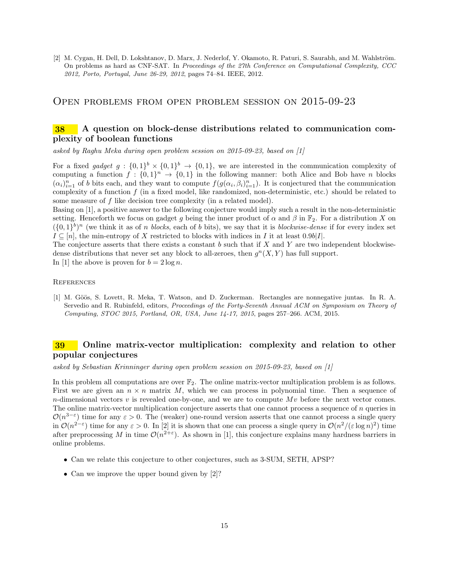[2] M. Cygan, H. Dell, D. Lokshtanov, D. Marx, J. Nederlof, Y. Okamoto, R. Paturi, S. Saurabh, and M. Wahlström. On problems as hard as CNF-SAT. In Proceedings of the 27th Conference on Computational Complexity, CCC 2012, Porto, Portugal, June 26-29, 2012, pages 74–84. IEEE, 2012.

# Open problems from open problem session on 2015-09-23

# 38 A question on block-dense distributions related to communication complexity of boolean functions

asked by Raghu Meka during open problem session on 2015-09-23, based on [1]

For a fixed gadget  $g: \{0,1\}^b \times \{0,1\}^b \rightarrow \{0,1\}$ , we are interested in the communication complexity of computing a function  $f: \{0,1\}^n \to \{0,1\}$  in the following manner: both Alice and Bob have n blocks  $(\alpha_i)_{i=1}^n$  of b bits each, and they want to compute  $f(g(\alpha_i, \beta_i)_{i=1}^n)$ . It is conjectured that the communication complexity of a function f (in a fixed model, like randomized, non-deterministic, etc.) should be related to some measure of f like decision tree complexity (in a related model).

Basing on [1], a positive answer to the following conjecture would imply such a result in the non-deterministic setting. Henceforth we focus on gadget g being the inner product of  $\alpha$  and  $\beta$  in  $\mathbb{F}_2$ . For a distribution X on  $({0,1}^b)^n$  (we think it as of n blocks, each of b bits), we say that it is blockwise-dense if for every index set  $I \subseteq [n]$ , the min-entropy of X restricted to blocks with indices in I it at least 0.9b|I|.

The conjecture asserts that there exists a constant  $b$  such that if  $X$  and  $Y$  are two independent blockwisedense distributions that never set any block to all-zeroes, then  $g^{n}(X, Y)$  has full support.

# In [1] the above is proven for  $b = 2 \log n$ .

### **REFERENCES**

[1] M. Göös, S. Lovett, R. Meka, T. Watson, and D. Zuckerman. Rectangles are nonnegative juntas. In R. A. Servedio and R. Rubinfeld, editors, Proceedings of the Forty-Seventh Annual ACM on Symposium on Theory of Computing, STOC 2015, Portland, OR, USA, June 14-17, 2015, pages 257–266. ACM, 2015.

# 39 Online matrix-vector multiplication: complexity and relation to other popular conjectures

asked by Sebastian Krinninger during open problem session on 2015-09-23, based on [1]

In this problem all computations are over  $\mathbb{F}_2$ . The online matrix-vector multiplication problem is as follows. First we are given an  $n \times n$  matrix M, which we can process in polynomial time. Then a sequence of n-dimensional vectors  $v$  is revealed one-by-one, and we are to compute  $Mv$  before the next vector comes. The online matrix-vector multiplication conjecture asserts that one cannot process a sequence of  $n$  queries in  $\mathcal{O}(n^{3-\epsilon})$  time for any  $\epsilon > 0$ . The (weaker) one-round version asserts that one cannot process a single query in  $\mathcal{O}(n^{2-\epsilon})$  time for any  $\epsilon > 0$ . In [2] it is shown that one can process a single query in  $\mathcal{O}(n^2/(\epsilon \log n)^2)$  time after preprocessing M in time  $\mathcal{O}(n^{2+\epsilon})$ . As shown in [1], this conjecture explains many hardness barriers in online problems.

- Can we relate this conjecture to other conjectures, such as 3-SUM, SETH, APSP?
- Can we improve the upper bound given by [2]?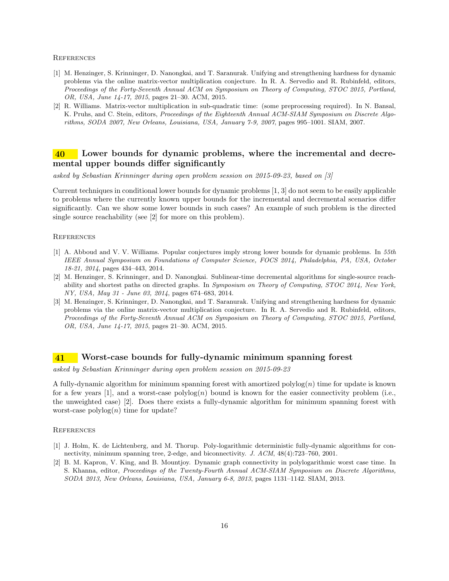- [1] M. Henzinger, S. Krinninger, D. Nanongkai, and T. Saranurak. Unifying and strengthening hardness for dynamic problems via the online matrix-vector multiplication conjecture. In R. A. Servedio and R. Rubinfeld, editors, Proceedings of the Forty-Seventh Annual ACM on Symposium on Theory of Computing, STOC 2015, Portland, OR, USA, June 14-17, 2015, pages 21–30. ACM, 2015.
- [2] R. Williams. Matrix-vector multiplication in sub-quadratic time: (some preprocessing required). In N. Bansal, K. Pruhs, and C. Stein, editors, Proceedings of the Eighteenth Annual ACM-SIAM Symposium on Discrete Algorithms, SODA 2007, New Orleans, Louisiana, USA, January 7-9, 2007, pages 995–1001. SIAM, 2007.

# 40 Lower bounds for dynamic problems, where the incremental and decremental upper bounds differ significantly

asked by Sebastian Krinninger during open problem session on 2015-09-23, based on [3]

Current techniques in conditional lower bounds for dynamic problems [1, 3] do not seem to be easily applicable to problems where the currently known upper bounds for the incremental and decremental scenarios differ significantly. Can we show some lower bounds in such cases? An example of such problem is the directed single source reachability (see [2] for more on this problem).

#### **REFERENCES**

- [1] A. Abboud and V. V. Williams. Popular conjectures imply strong lower bounds for dynamic problems. In 55th IEEE Annual Symposium on Foundations of Computer Science, FOCS 2014, Philadelphia, PA, USA, October 18-21, 2014, pages 434–443, 2014.
- [2] M. Henzinger, S. Krinninger, and D. Nanongkai. Sublinear-time decremental algorithms for single-source reachability and shortest paths on directed graphs. In Symposium on Theory of Computing, STOC 2014, New York, NY, USA, May 31 - June 03, 2014, pages 674–683, 2014.
- [3] M. Henzinger, S. Krinninger, D. Nanongkai, and T. Saranurak. Unifying and strengthening hardness for dynamic problems via the online matrix-vector multiplication conjecture. In R. A. Servedio and R. Rubinfeld, editors, Proceedings of the Forty-Seventh Annual ACM on Symposium on Theory of Computing, STOC 2015, Portland, OR, USA, June 14-17, 2015, pages 21–30. ACM, 2015.

## 41 Worst-case bounds for fully-dynamic minimum spanning forest

asked by Sebastian Krinninger during open problem session on 2015-09-23

A fully-dynamic algorithm for minimum spanning forest with amortized  $polylog(n)$  time for update is known for a few years [1], and a worst-case  $\text{polylog}(n)$  bound is known for the easier connectivity problem (i.e., the unweighted case) [2]. Does there exists a fully-dynamic algorithm for minimum spanning forest with worst-case  $\text{polylog}(n)$  time for update?

- [1] J. Holm, K. de Lichtenberg, and M. Thorup. Poly-logarithmic deterministic fully-dynamic algorithms for connectivity, minimum spanning tree, 2-edge, and biconnectivity. J. ACM, 48(4):723–760, 2001.
- [2] B. M. Kapron, V. King, and B. Mountjoy. Dynamic graph connectivity in polylogarithmic worst case time. In S. Khanna, editor, Proceedings of the Twenty-Fourth Annual ACM-SIAM Symposium on Discrete Algorithms, SODA 2013, New Orleans, Louisiana, USA, January 6-8, 2013, pages 1131–1142. SIAM, 2013.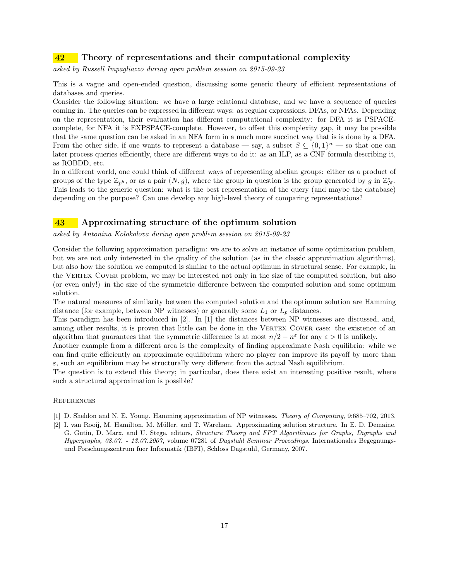# 42 Theory of representations and their computational complexity

asked by Russell Impagliazzo during open problem session on 2015-09-23

This is a vague and open-ended question, discussing some generic theory of efficient representations of databases and queries.

Consider the following situation: we have a large relational database, and we have a sequence of queries coming in. The queries can be expressed in different ways: as regular expressions, DFAs, or NFAs. Depending on the representation, their evaluation has different computational complexity: for DFA it is PSPACEcomplete, for NFA it is EXPSPACE-complete. However, to offset this complexity gap, it may be possible that the same question can be asked in an NFA form in a much more succinct way that is is done by a DFA. From the other side, if one wants to represent a database — say, a subset  $S \subseteq \{0,1\}^n$  — so that one can later process queries efficiently, there are different ways to do it: as an ILP, as a CNF formula describing it, as ROBDD, etc.

In a different world, one could think of different ways of representing abelian groups: either as a product of groups of the type  $\mathbb{Z}_{p^k}$ , or as a pair  $(N, g)$ , where the group in question is the group generated by g in  $\mathbb{Z}_N^*$ . This leads to the generic question: what is the best representation of the query (and maybe the database) depending on the purpose? Can one develop any high-level theory of comparing representations?

# 43 Approximating structure of the optimum solution

asked by Antonina Kolokolova during open problem session on 2015-09-23

Consider the following approximation paradigm: we are to solve an instance of some optimization problem, but we are not only interested in the quality of the solution (as in the classic approximation algorithms), but also how the solution we computed is similar to the actual optimum in structural sense. For example, in the Vertex Cover problem, we may be interested not only in the size of the computed solution, but also (or even only!) in the size of the symmetric difference between the computed solution and some optimum solution.

The natural measures of similarity between the computed solution and the optimum solution are Hamming distance (for example, between NP witnesses) or generally some  $L_1$  or  $L_p$  distances.

This paradigm has been introduced in [2]. In [1] the distances between NP witnesses are discussed, and, among other results, it is proven that little can be done in the VERTEX COVER case: the existence of an algorithm that guarantees that the symmetric difference is at most  $n/2 - n^{\epsilon}$  for any  $\varepsilon > 0$  is unlikely.

Another example from a different area is the complexity of finding approximate Nash equilibria: while we can find quite efficiently an approximate equilibrium where no player can improve its payoff by more than  $\varepsilon$ , such an equilibrium may be structurally very different from the actual Nash equilibrium.

The question is to extend this theory; in particular, does there exist an interesting positive result, where such a structural approximation is possible?

- [1] D. Sheldon and N. E. Young. Hamming approximation of NP witnesses. Theory of Computing, 9:685–702, 2013.
- [2] I. van Rooij, M. Hamilton, M. M¨uller, and T. Wareham. Approximating solution structure. In E. D. Demaine, G. Gutin, D. Marx, and U. Stege, editors, Structure Theory and FPT Algorithmics for Graphs, Digraphs and Hypergraphs, 08.07. - 13.07.2007, volume 07281 of Dagstuhl Seminar Proceedings. Internationales Begegnungsund Forschungszentrum fuer Informatik (IBFI), Schloss Dagstuhl, Germany, 2007.